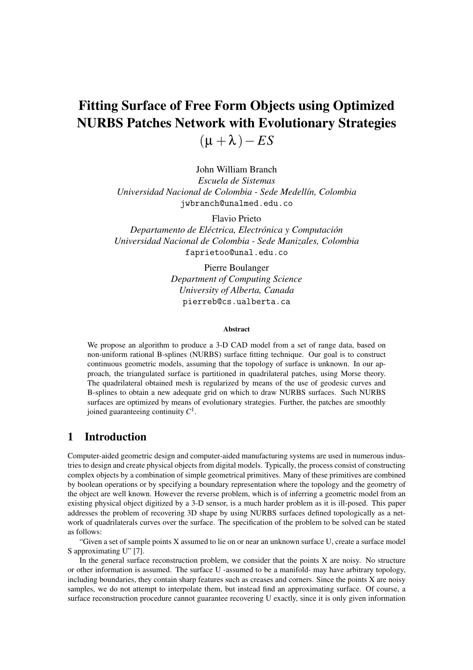# Fitting Surface of Free Form Objects using Optimized NURBS Patches Network with Evolutionary Strategies  $(\mu + \lambda) - ES$

John William Branch *Escuela de Sistemas Universidad Nacional de Colombia - Sede Medell´ın, Colombia* jwbranch@unalmed.edu.co

Flavio Prieto *Departamento de Electrica, Electr ´ onica y Computaci ´ on´ Universidad Nacional de Colombia - Sede Manizales, Colombia* faprietoo@unal.edu.co

> Pierre Boulanger *Department of Computing Science University of Alberta, Canada* pierreb@cs.ualberta.ca

#### Abstract

We propose an algorithm to produce a 3-D CAD model from a set of range data, based on non-uniform rational B-splines (NURBS) surface fitting technique. Our goal is to construct continuous geometric models, assuming that the topology of surface is unknown. In our approach, the triangulated surface is partitioned in quadrilateral patches, using Morse theory. The quadrilateral obtained mesh is regularized by means of the use of geodesic curves and B-splines to obtain a new adequate grid on which to draw NURBS surfaces. Such NURBS surfaces are optimized by means of evolutionary strategies. Further, the patches are smoothly joined guaranteeing continuity *C* 1 .

## 1 Introduction

Computer-aided geometric design and computer-aided manufacturing systems are used in numerous industries to design and create physical objects from digital models. Typically, the process consist of constructing complex objects by a combination of simple geometrical primitives. Many of these primitives are combined by boolean operations or by specifying a boundary representation where the topology and the geometry of the object are well known. However the reverse problem, which is of inferring a geometric model from an existing physical object digitized by a 3-D sensor, is a much harder problem as it is ill-posed. This paper addresses the problem of recovering 3D shape by using NURBS surfaces defined topologically as a network of quadrilaterals curves over the surface. The specification of the problem to be solved can be stated as follows:

"Given a set of sample points X assumed to lie on or near an unknown surface U, create a surface model S approximating U" [7].

In the general surface reconstruction problem, we consider that the points X are noisy. No structure or other information is assumed. The surface U -assumed to be a manifold- may have arbitrary topology, including boundaries, they contain sharp features such as creases and corners. Since the points X are noisy samples, we do not attempt to interpolate them, but instead find an approximating surface. Of course, a surface reconstruction procedure cannot guarantee recovering U exactly, since it is only given information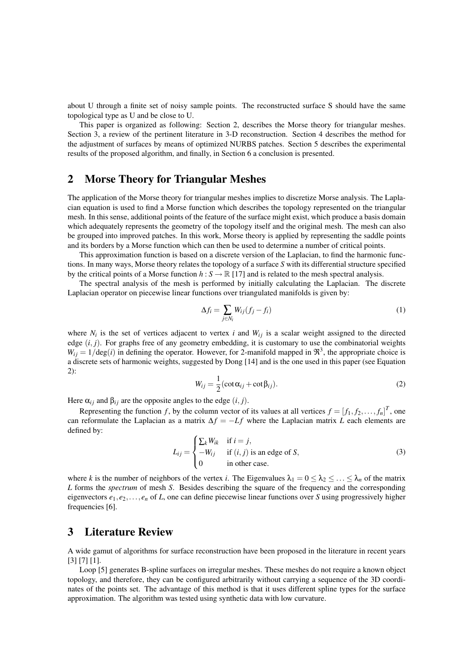about U through a finite set of noisy sample points. The reconstructed surface S should have the same topological type as U and be close to U.

This paper is organized as following: Section 2, describes the Morse theory for triangular meshes. Section 3, a review of the pertinent literature in 3-D reconstruction. Section 4 describes the method for the adjustment of surfaces by means of optimized NURBS patches. Section 5 describes the experimental results of the proposed algorithm, and finally, in Section 6 a conclusion is presented.

# 2 Morse Theory for Triangular Meshes

The application of the Morse theory for triangular meshes implies to discretize Morse analysis. The Laplacian equation is used to find a Morse function which describes the topology represented on the triangular mesh. In this sense, additional points of the feature of the surface might exist, which produce a basis domain which adequately represents the geometry of the topology itself and the original mesh. The mesh can also be grouped into improved patches. In this work, Morse theory is applied by representing the saddle points and its borders by a Morse function which can then be used to determine a number of critical points.

This approximation function is based on a discrete version of the Laplacian, to find the harmonic functions. In many ways, Morse theory relates the topology of a surface *S* with its differential structure specified by the critical points of a Morse function  $h : S \to \mathbb{R}$  [17] and is related to the mesh spectral analysis.

The spectral analysis of the mesh is performed by initially calculating the Laplacian. The discrete Laplacian operator on piecewise linear functions over triangulated manifolds is given by:

$$
\Delta f_i = \sum_{j \in N_i} W_{ij} (f_j - f_i) \tag{1}
$$

where  $N_i$  is the set of vertices adjacent to vertex *i* and  $W_{ij}$  is a scalar weight assigned to the directed edge  $(i, j)$ . For graphs free of any geometry embedding, it is customary to use the combinatorial weights  $W_{ij} = 1/\text{deg}(i)$  in defining the operator. However, for 2-manifold mapped in  $\mathfrak{R}^3$ , the appropriate choice is a discrete sets of harmonic weights, suggested by Dong [14] and is the one used in this paper (see Equation 2):

$$
W_{ij} = \frac{1}{2} (\cot \alpha_{ij} + \cot \beta_{ij}).
$$
\n(2)

Here  $\alpha_{ij}$  and  $\beta_{ij}$  are the opposite angles to the edge  $(i, j)$ .

Representing the function *f*, by the column vector of its values at all vertices  $f = [f_1, f_2, \dots, f_n]^T$ , one can reformulate the Laplacian as a matrix  $\Delta f = -Lf$  where the Laplacian matrix *L* each elements are defined by:  $\overline{a}$ 

$$
L_{ij} = \begin{cases} \sum_{k} W_{ik} & \text{if } i = j, \\ -W_{ij} & \text{if } (i, j) \text{ is an edge of } S, \\ 0 & \text{in other case.} \end{cases}
$$
 (3)

where *k* is the number of neighbors of the vertex *i*. The Eigenvalues  $\lambda_1 = 0 \leq \lambda_2 \leq \ldots \leq \lambda_n$  of the matrix *L* forms the *spectrum* of mesh *S*. Besides describing the square of the frequency and the corresponding eigenvectors  $e_1, e_2, \ldots, e_n$  of *L*, one can define piecewise linear functions over *S* using progressively higher frequencies [6].

# 3 Literature Review

A wide gamut of algorithms for surface reconstruction have been proposed in the literature in recent years [3] [7] [1].

Loop [5] generates B-spline surfaces on irregular meshes. These meshes do not require a known object topology, and therefore, they can be configured arbitrarily without carrying a sequence of the 3D coordinates of the points set. The advantage of this method is that it uses different spline types for the surface approximation. The algorithm was tested using synthetic data with low curvature.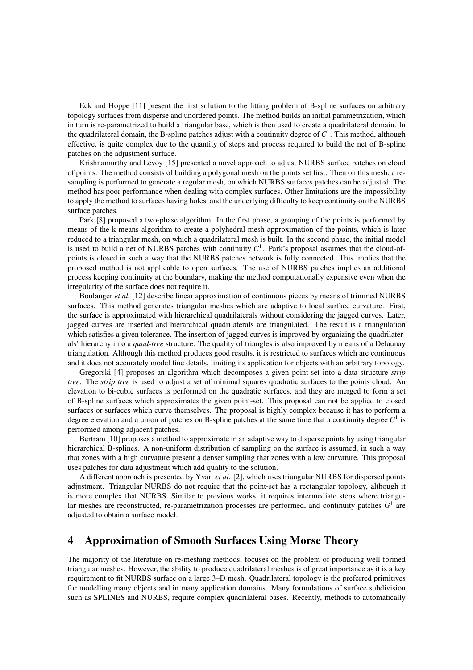Eck and Hoppe [11] present the first solution to the fitting problem of B-spline surfaces on arbitrary topology surfaces from disperse and unordered points. The method builds an initial parametrization, which in turn is re-parametrized to build a triangular base, which is then used to create a quadrilateral domain. In the quadrilateral domain, the B-spline patches adjust with a continuity degree of *C* 1 . This method, although effective, is quite complex due to the quantity of steps and process required to build the net of B-spline patches on the adjustment surface.

Krishnamurthy and Levoy [15] presented a novel approach to adjust NURBS surface patches on cloud of points. The method consists of building a polygonal mesh on the points set first. Then on this mesh, a resampling is performed to generate a regular mesh, on which NURBS surfaces patches can be adjusted. The method has poor performance when dealing with complex surfaces. Other limitations are the impossibility to apply the method to surfaces having holes, and the underlying difficulty to keep continuity on the NURBS surface patches.

Park [8] proposed a two-phase algorithm. In the first phase, a grouping of the points is performed by means of the k-means algorithm to create a polyhedral mesh approximation of the points, which is later reduced to a triangular mesh, on which a quadrilateral mesh is built. In the second phase, the initial model is used to build a net of NURBS patches with continuity  $C<sup>1</sup>$ . Park's proposal assumes that the cloud-ofpoints is closed in such a way that the NURBS patches network is fully connected. This implies that the proposed method is not applicable to open surfaces. The use of NURBS patches implies an additional process keeping continuity at the boundary, making the method computationally expensive even when the irregularity of the surface does not require it.

Boulanger *et al.* [12] describe linear approximation of continuous pieces by means of trimmed NURBS surfaces. This method generates triangular meshes which are adaptive to local surface curvature. First, the surface is approximated with hierarchical quadrilaterals without considering the jagged curves. Later, jagged curves are inserted and hierarchical quadrilaterals are triangulated. The result is a triangulation which satisfies a given tolerance. The insertion of jagged curves is improved by organizing the quadrilaterals' hierarchy into a *quad-tree* structure. The quality of triangles is also improved by means of a Delaunay triangulation. Although this method produces good results, it is restricted to surfaces which are continuous and it does not accurately model fine details, limiting its application for objects with an arbitrary topology.

Gregorski [4] proposes an algorithm which decomposes a given point-set into a data structure *strip tree*. The *strip tree* is used to adjust a set of minimal squares quadratic surfaces to the points cloud. An elevation to bi-cubic surfaces is performed on the quadratic surfaces, and they are merged to form a set of B-spline surfaces which approximates the given point-set. This proposal can not be applied to closed surfaces or surfaces which curve themselves. The proposal is highly complex because it has to perform a degree elevation and a union of patches on B-spline patches at the same time that a continuity degree  $C^1$  is performed among adjacent patches.

Bertram [10] proposes a method to approximate in an adaptive way to disperse points by using triangular hierarchical B-splines. A non-uniform distribution of sampling on the surface is assumed, in such a way that zones with a high curvature present a denser sampling that zones with a low curvature. This proposal uses patches for data adjustment which add quality to the solution.

A different approach is presented by Yvart *et al.* [2], which uses triangular NURBS for dispersed points adjustment. Triangular NURBS do not require that the point-set has a rectangular topology, although it is more complex that NURBS. Similar to previous works, it requires intermediate steps where triangular meshes are reconstructed, re-parametrization processes are performed, and continuity patches  $G<sup>1</sup>$  are adjusted to obtain a surface model.

# 4 Approximation of Smooth Surfaces Using Morse Theory

The majority of the literature on re-meshing methods, focuses on the problem of producing well formed triangular meshes. However, the ability to produce quadrilateral meshes is of great importance as it is a key requirement to fit NURBS surface on a large 3–D mesh. Quadrilateral topology is the preferred primitives for modelling many objects and in many application domains. Many formulations of surface subdivision such as SPLINES and NURBS, require complex quadrilateral bases. Recently, methods to automatically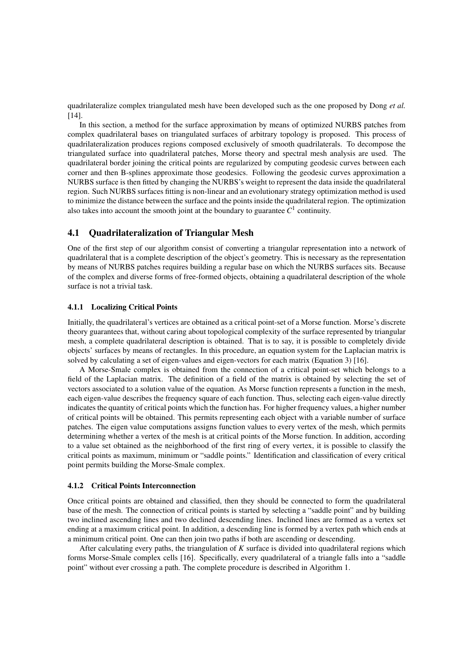quadrilateralize complex triangulated mesh have been developed such as the one proposed by Dong *et al.* [14].

In this section, a method for the surface approximation by means of optimized NURBS patches from complex quadrilateral bases on triangulated surfaces of arbitrary topology is proposed. This process of quadrilateralization produces regions composed exclusively of smooth quadrilaterals. To decompose the triangulated surface into quadrilateral patches, Morse theory and spectral mesh analysis are used. The quadrilateral border joining the critical points are regularized by computing geodesic curves between each corner and then B-splines approximate those geodesics. Following the geodesic curves approximation a NURBS surface is then fitted by changing the NURBS's weight to represent the data inside the quadrilateral region. Such NURBS surfaces fitting is non-linear and an evolutionary strategy optimization method is used to minimize the distance between the surface and the points inside the quadrilateral region. The optimization also takes into account the smooth joint at the boundary to guarantee  $C<sup>1</sup>$  continuity.

## 4.1 Quadrilateralization of Triangular Mesh

One of the first step of our algorithm consist of converting a triangular representation into a network of quadrilateral that is a complete description of the object's geometry. This is necessary as the representation by means of NURBS patches requires building a regular base on which the NURBS surfaces sits. Because of the complex and diverse forms of free-formed objects, obtaining a quadrilateral description of the whole surface is not a trivial task.

#### 4.1.1 Localizing Critical Points

Initially, the quadrilateral's vertices are obtained as a critical point-set of a Morse function. Morse's discrete theory guarantees that, without caring about topological complexity of the surface represented by triangular mesh, a complete quadrilateral description is obtained. That is to say, it is possible to completely divide objects' surfaces by means of rectangles. In this procedure, an equation system for the Laplacian matrix is solved by calculating a set of eigen-values and eigen-vectors for each matrix (Equation 3) [16].

A Morse-Smale complex is obtained from the connection of a critical point-set which belongs to a field of the Laplacian matrix. The definition of a field of the matrix is obtained by selecting the set of vectors associated to a solution value of the equation. As Morse function represents a function in the mesh, each eigen-value describes the frequency square of each function. Thus, selecting each eigen-value directly indicates the quantity of critical points which the function has. For higher frequency values, a higher number of critical points will be obtained. This permits representing each object with a variable number of surface patches. The eigen value computations assigns function values to every vertex of the mesh, which permits determining whether a vertex of the mesh is at critical points of the Morse function. In addition, according to a value set obtained as the neighborhood of the first ring of every vertex, it is possible to classify the critical points as maximum, minimum or "saddle points." Identification and classification of every critical point permits building the Morse-Smale complex.

#### 4.1.2 Critical Points Interconnection

Once critical points are obtained and classified, then they should be connected to form the quadrilateral base of the mesh. The connection of critical points is started by selecting a "saddle point" and by building two inclined ascending lines and two declined descending lines. Inclined lines are formed as a vertex set ending at a maximum critical point. In addition, a descending line is formed by a vertex path which ends at a minimum critical point. One can then join two paths if both are ascending or descending.

After calculating every paths, the triangulation of *K* surface is divided into quadrilateral regions which forms Morse-Smale complex cells [16]. Specifically, every quadrilateral of a triangle falls into a "saddle point" without ever crossing a path. The complete procedure is described in Algorithm 1.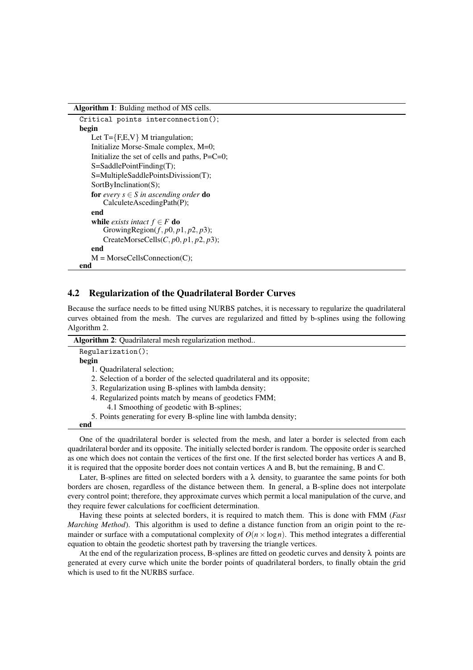Algorithm 1: Bulding method of MS cells.

```
Critical points interconnection();
begin
   Let T = \{F, E, V\} M triangulation;
   Initialize Morse-Smale complex, M=0;
   Initialize the set of cells and paths, P=C=0;
   S=SaddlePointFinding(T);
   S=MultipleSaddlePointsDivission(T);
   SortByInclination(S);
   for every s \in S in ascending order do
       CalculeteAscedingPath(P);
   end
   while exists intact f \in F do
       GrowingRegion(f, p0, p1, p2, p3);
       CreateMorseCells(C, p0, p1, p2, p3);
   end
   M = MorseCellsConnection(C);end
```
## 4.2 Regularization of the Quadrilateral Border Curves

Because the surface needs to be fitted using NURBS patches, it is necessary to regularize the quadrilateral curves obtained from the mesh. The curves are regularized and fitted by b-splines using the following Algorithm 2.

| <b>Algorithm 2:</b> Quadrilateral mesh regularization method                                        |
|-----------------------------------------------------------------------------------------------------|
| Regularization():                                                                                   |
| begin                                                                                               |
| 1. Ouadrilateral selection;                                                                         |
| 2. Selection of a border of the selected quadrilateral and its opposite;                            |
| 3. Regularization using B-splines with lambda density;                                              |
| 4. Regularized points match by means of geodetics FMM;                                              |
| 4.1 Smoothing of geodetic with B-splines;                                                           |
| 5. Points generating for every B-spline line with lambda density;                                   |
| end                                                                                                 |
| One of the quadrilatoral border is selected from the mesh, and later a border is selected from each |

One of the quadrilateral border is selected from the mesh, and later a border is selected from each quadrilateral border and its opposite. The initially selected border is random. The opposite order is searched as one which does not contain the vertices of the first one. If the first selected border has vertices A and B, it is required that the opposite border does not contain vertices A and B, but the remaining, B and C.

Later, B-splines are fitted on selected borders with a  $\lambda$  density, to guarantee the same points for both borders are chosen, regardless of the distance between them. In general, a B-spline does not interpolate every control point; therefore, they approximate curves which permit a local manipulation of the curve, and they require fewer calculations for coefficient determination.

Having these points at selected borders, it is required to match them. This is done with FMM (*Fast Marching Method*). This algorithm is used to define a distance function from an origin point to the remainder or surface with a computational complexity of  $O(n \times \log n)$ . This method integrates a differential equation to obtain the geodetic shortest path by traversing the triangle vertices.

At the end of the regularization process, B-splines are fitted on geodetic curves and density  $\lambda$  points are generated at every curve which unite the border points of quadrilateral borders, to finally obtain the grid which is used to fit the NURBS surface.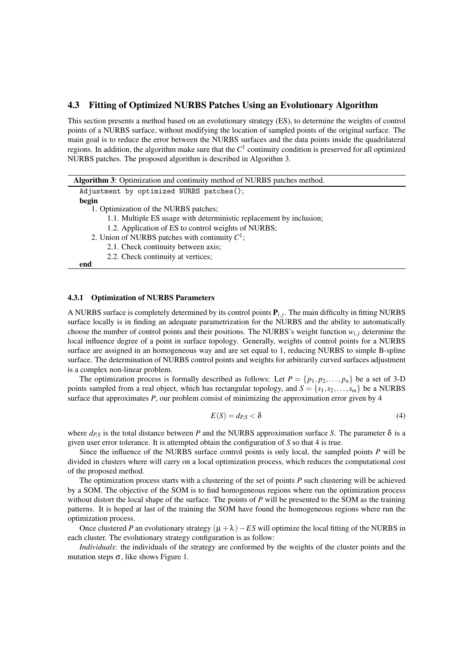## 4.3 Fitting of Optimized NURBS Patches Using an Evolutionary Algorithm

This section presents a method based on an evolutionary strategy (ES), to determine the weights of control points of a NURBS surface, without modifying the location of sampled points of the original surface. The main goal is to reduce the error between the NURBS surfaces and the data points inside the quadrilateral regions. In addition, the algorithm make sure that the  $C<sup>1</sup>$  continuity condition is preserved for all optimized NURBS patches. The proposed algorithm is described in Algorithm 3.

| Algorithm 3: Optimization and continuity method of NURBS patches method. |
|--------------------------------------------------------------------------|
| Adjustment by optimized NURBS patches();                                 |
| begin                                                                    |
| 1. Optimization of the NURBS patches;                                    |
| 1.1. Multiple ES usage with deterministic replacement by inclusion;      |
| 1.2. Application of ES to control weights of NURBS;                      |
| 2. Union of NURBS patches with continuity $C^1$ ;                        |
| 2.1. Check continuity between axis;                                      |
| 2.2. Check continuity at vertices;                                       |
| end                                                                      |

#### 4.3.1 Optimization of NURBS Parameters

A NURBS surface is completely determined by its control points  $P_{i,j}$ . The main difficulty in fitting NURBS surface locally is in finding an adequate parametrization for the NURBS and the ability to automatically choose the number of control points and their positions. The NURBS's weight function  $w_{i,j}$  determine the local influence degree of a point in surface topology. Generally, weights of control points for a NURBS surface are assigned in an homogeneous way and are set equal to 1, reducing NURBS to simple B-spline surface. The determination of NURBS control points and weights for arbitrarily curved surfaces adjustment is a complex non-linear problem.

The optimization process is formally described as follows: Let  $P = \{p_1, p_2, \dots, p_n\}$  be a set of 3-D points sampled from a real object, which has rectangular topology, and  $S = \{s_1, s_2, \dots, s_m\}$  be a NURBS surface that approximates *P*, our problem consist of minimizing the approximation error given by 4

$$
E(S) = d_{P,S} < \delta \tag{4}
$$

where  $d_{PS}$  is the total distance between *P* and the NURBS approximation surface *S*. The parameter  $\delta$  is a given user error tolerance. It is attempted obtain the configuration of *S* so that 4 is true.

Since the influence of the NURBS surface control points is only local, the sampled points *P* will be divided in clusters where will carry on a local optimization process, which reduces the computational cost of the proposed method.

The optimization process starts with a clustering of the set of points *P* such clustering will be achieved by a SOM. The objective of the SOM is to find homogeneous regions where run the optimization process without distort the local shape of the surface. The points of *P* will be presented to the SOM as the training patterns. It is hoped at last of the training the SOM have found the homogeneous regions where run the optimization process.

Once clustered *P* an evolutionary strategy  $(\mu + \lambda)$  – *ES* will optimize the local fitting of the NURBS in each cluster. The evolutionary strategy configuration is as follow:

*Individuals*: the individuals of the strategy are conformed by the weights of the cluster points and the mutation steps  $\sigma$ , like shows Figure 1.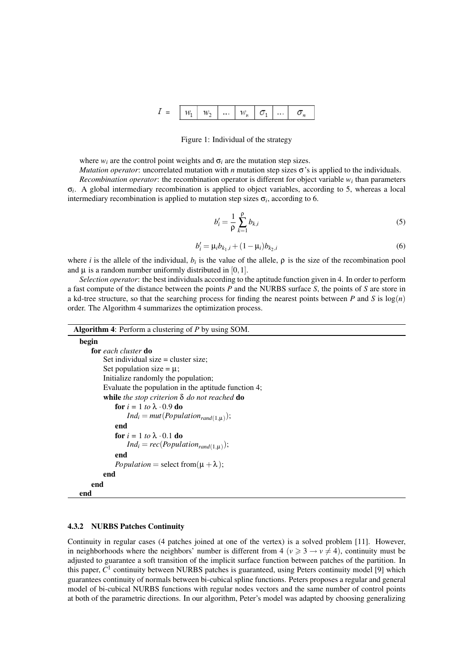

Figure 1: Individual of the strategy

where  $w_i$  are the control point weights and  $\sigma_i$  are the mutation step sizes.

*Mutation operator*: uncorrelated mutation with *n* mutation step sizes σ's is applied to the individuals.

*Recombination operator*: the recombination operator is different for object variable *w<sup>i</sup>* than parameters σ*i* . A global intermediary recombination is applied to object variables, according to 5, whereas a local intermediary recombination is applied to mutation step sizes  $\sigma_i$ , according to 6.

$$
b_i' = \frac{1}{\rho} \sum_{k=1}^{\rho} b_{k,i} \tag{5}
$$

$$
b'_{i} = \mu_{i} b_{k_{1},i} + (1 - \mu_{i}) b_{k_{2},i}
$$
\n(6)

where *i* is the allele of the individual,  $b_i$  is the value of the allele,  $\rho$  is the size of the recombination pool and  $\mu$  is a random number uniformly distributed in [0, 1].

*Selection operator*: the best individuals according to the aptitude function given in 4. In order to perform a fast compute of the distance between the points *P* and the NURBS surface *S*, the points of *S* are store in a kd-tree structure, so that the searching process for finding the nearest points between  $P$  and  $S$  is  $log(n)$ order. The Algorithm 4 summarizes the optimization process.

## Algorithm 4: Perform a clustering of *P* by using SOM.

```
begin
    for each cluster do
        Set individual size = cluster size;
        Set population size = \mu:
        Initialize randomly the population;
        Evaluate the population in the aptitude function 4;
        while the stop criterion δ do not reached do
            for i = 1 to \lambda \cdot 0.9 do
                 Ind_i = mut(Population_{rand(1,\mu)});end
            for i = 1 to \lambda \cdot 0.1 do
                 Ind_i = rec(Population_{rand(1,\mu)});
            end
            Population = select from(\mu + \lambda);
        end
    end
end
```
### 4.3.2 NURBS Patches Continuity

Continuity in regular cases (4 patches joined at one of the vertex) is a solved problem [11]. However, in neighborhoods where the neighbors' number is different from 4 ( $v \ge 3 \rightarrow v \ne 4$ ), continuity must be adjusted to guarantee a soft transition of the implicit surface function between patches of the partition. In this paper,  $C^1$  continuity between NURBS patches is guaranteed, using Peters continuity model [9] which guarantees continuity of normals between bi-cubical spline functions. Peters proposes a regular and general model of bi-cubical NURBS functions with regular nodes vectors and the same number of control points at both of the parametric directions. In our algorithm, Peter's model was adapted by choosing generalizing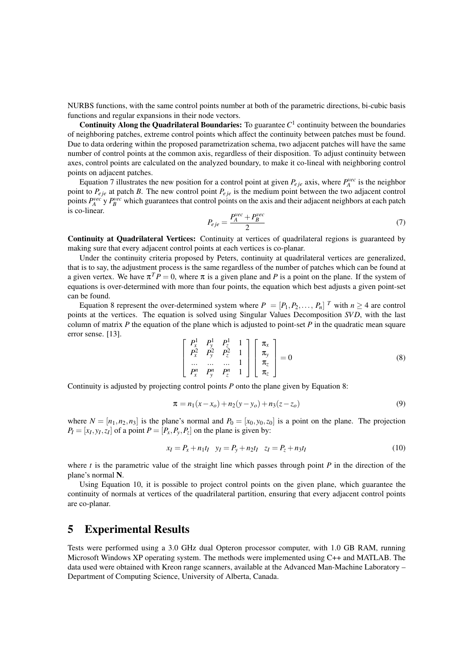NURBS functions, with the same control points number at both of the parametric directions, bi-cubic basis functions and regular expansions in their node vectors.

**Continuity Along the Quadrilateral Boundaries:** To guarantee  $C<sup>1</sup>$  continuity between the boundaries of neighboring patches, extreme control points which affect the continuity between patches must be found. Due to data ordering within the proposed parametrization schema, two adjacent patches will have the same number of control points at the common axis, regardless of their disposition. To adjust continuity between axes, control points are calculated on the analyzed boundary, to make it co-lineal with neighboring control points on adjacent patches.

Equation 7 illustrates the new position for a control point at given  $P_{e j e}$  axis, where  $P_A^{vec}$  is the neighbor point to  $P_{e j e}$  at patch *B*. The new control point  $P_{e j e}$  is the medium point between the two adjacent control points  $P_A^{vec}$  y  $P_B^{vec}$  which guarantees that control points on the axis and their adjacent neighbors at each patch is co-linear.

$$
P_{eje} = \frac{P_A^{vec} + P_B^{vec}}{2} \tag{7}
$$

Continuity at Quadrilateral Vertices: Continuity at vertices of quadrilateral regions is guaranteed by making sure that every adjacent control points at each vertices is co-planar.

Under the continuity criteria proposed by Peters, continuity at quadrilateral vertices are generalized, that is to say, the adjustment process is the same regardless of the number of patches which can be found at a given vertex. We have  $\pi^T P = 0$ , where  $\pi$  is a given plane and P is a point on the plane. If the system of equations is over-determined with more than four points, the equation which best adjusts a given point-set can be found.

Equation 8 represent the over-determined system where  $P = [P_1, P_2, \ldots, P_n]$  *T* with  $n \ge 4$  are control points at the vertices. The equation is solved using Singular Values Decomposition *SV D*, with the last column of matrix  $P$  the equation of the plane which is adjusted to point-set  $P$  in the quadratic mean square error sense. [13].  $\overline{r}$  $\overline{a}$  $\overline{r}$  $\overline{a}$ 

$$
\begin{bmatrix} P_x^1 & P_y^1 & P_z^1 & 1 \ P_x^2 & P_y^2 & P_z^2 & 1 \ \cdots & \cdots & \cdots & 1 \ P_x^n & P_y^n & P_z^n & 1 \end{bmatrix} \begin{bmatrix} \pi_x \\ \pi_y \\ \pi_z \\ \pi_z \end{bmatrix} = 0
$$
 (8)

Continuity is adjusted by projecting control points *P* onto the plane given by Equation 8:

$$
\pi = n_1(x - x_o) + n_2(y - y_o) + n_3(z - z_o)
$$
\n(9)

where  $N = [n_1, n_2, n_3]$  is the plane's normal and  $P_0 = [x_0, y_0, z_0]$  is a point on the plane. The projection  $P_I = [x_I, y_I, z_I]$  of a point  $P = [P_x, P_y, P_z]$  on the plane is given by:

$$
x_I = P_x + n_1 t_I \quad y_I = P_y + n_2 t_I \quad z_I = P_z + n_3 t_I \tag{10}
$$

where *t* is the parametric value of the straight line which passes through point *P* in the direction of the plane's normal N.

Using Equation 10, it is possible to project control points on the given plane, which guarantee the continuity of normals at vertices of the quadrilateral partition, ensuring that every adjacent control points are co-planar.

# 5 Experimental Results

Tests were performed using a 3.0 GHz dual Opteron processor computer, with 1.0 GB RAM, running Microsoft Windows XP operating system. The methods were implemented using C++ and MATLAB. The data used were obtained with Kreon range scanners, available at the Advanced Man-Machine Laboratory – Department of Computing Science, University of Alberta, Canada.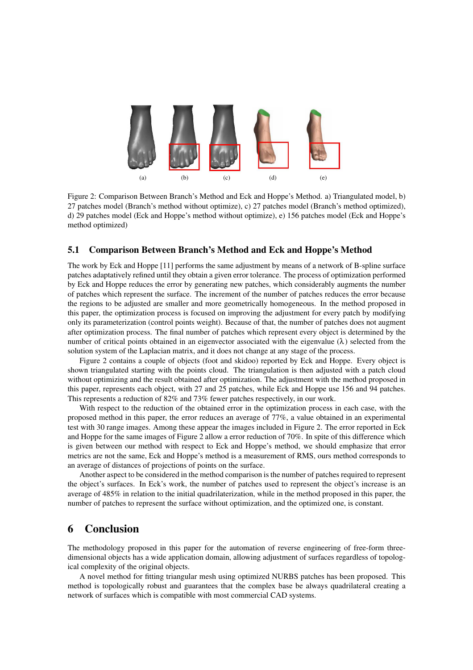

Figure 2: Comparison Between Branch's Method and Eck and Hoppe's Method. a) Triangulated model, b) 27 patches model (Branch's method without optimize), c) 27 patches model (Branch's method optimized), d) 29 patches model (Eck and Hoppe's method without optimize), e) 156 patches model (Eck and Hoppe's method optimized)

## 5.1 Comparison Between Branch's Method and Eck and Hoppe's Method

The work by Eck and Hoppe [11] performs the same adjustment by means of a network of B-spline surface patches adaptatively refined until they obtain a given error tolerance. The process of optimization performed by Eck and Hoppe reduces the error by generating new patches, which considerably augments the number of patches which represent the surface. The increment of the number of patches reduces the error because the regions to be adjusted are smaller and more geometrically homogeneous. In the method proposed in this paper, the optimization process is focused on improving the adjustment for every patch by modifying only its parameterization (control points weight). Because of that, the number of patches does not augment after optimization process. The final number of patches which represent every object is determined by the number of critical points obtained in an eigenvector associated with the eigenvalue  $(\lambda)$  selected from the solution system of the Laplacian matrix, and it does not change at any stage of the process.

Figure 2 contains a couple of objects (foot and skidoo) reported by Eck and Hoppe. Every object is shown triangulated starting with the points cloud. The triangulation is then adjusted with a patch cloud without optimizing and the result obtained after optimization. The adjustment with the method proposed in this paper, represents each object, with 27 and 25 patches, while Eck and Hoppe use 156 and 94 patches. This represents a reduction of 82% and 73% fewer patches respectively, in our work.

With respect to the reduction of the obtained error in the optimization process in each case, with the proposed method in this paper, the error reduces an average of 77%, a value obtained in an experimental test with 30 range images. Among these appear the images included in Figure 2. The error reported in Eck and Hoppe for the same images of Figure 2 allow a error reduction of 70%. In spite of this difference which is given between our method with respect to Eck and Hoppe's method, we should emphasize that error metrics are not the same, Eck and Hoppe's method is a measurement of RMS, ours method corresponds to an average of distances of projections of points on the surface.

Another aspect to be considered in the method comparison is the number of patches required to represent the object's surfaces. In Eck's work, the number of patches used to represent the object's increase is an average of 485% in relation to the initial quadrilaterization, while in the method proposed in this paper, the number of patches to represent the surface without optimization, and the optimized one, is constant.

# 6 Conclusion

The methodology proposed in this paper for the automation of reverse engineering of free-form threedimensional objects has a wide application domain, allowing adjustment of surfaces regardless of topological complexity of the original objects.

A novel method for fitting triangular mesh using optimized NURBS patches has been proposed. This method is topologically robust and guarantees that the complex base be always quadrilateral creating a network of surfaces which is compatible with most commercial CAD systems.